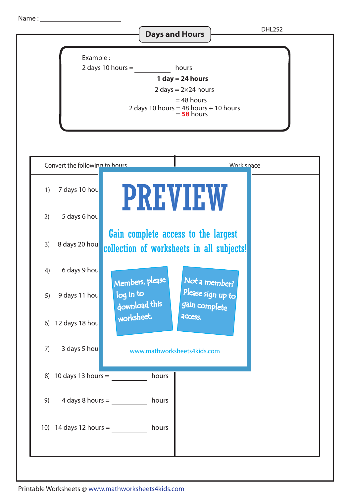Name :